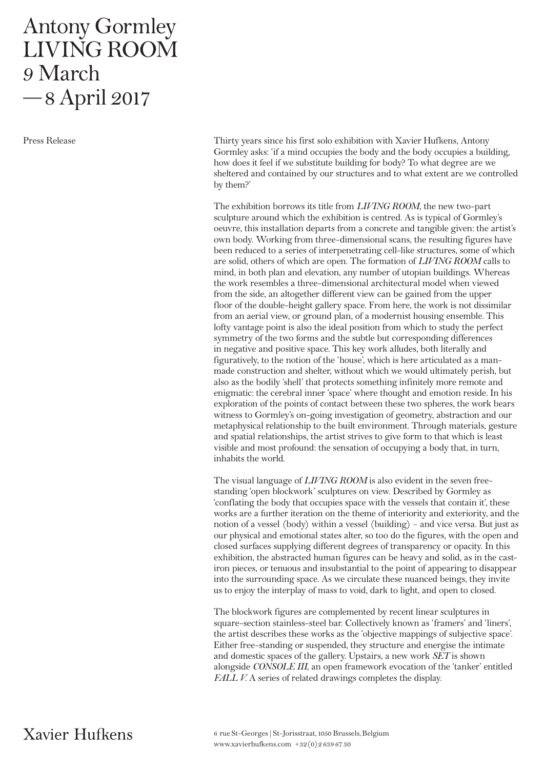## Antony Gormley LIVING ROOM 9 March —8 April 2017

Press Release

Thirty years since his first solo exhibition with Xavier Hufkens, Antony Gormley asks: 'if a mind occupies the body and the body occupies a building, how does it feel if we substitute building for body? To what degree are we sheltered and contained by our structures and to what extent are we controlled by them?'

The exhibition borrows its title from *LIVING ROOM*, the new two-part sculpture around which the exhibition is centred. As is typical of Gormley's oeuvre, this installation departs from a concrete and tangible given: the artist's own body. Working from three-dimensional scans, the resulting figures have been reduced to a series of interpenetrating cell-like structures, some of which are solid, others of which are open. The formation of *LIVING ROOM* calls to mind, in both plan and elevation, any number of utopian buildings. Whereas the work resembles a three-dimensional architectural model when viewed from the side, an altogether different view can be gained from the upper floor of the double-height gallery space. From here, the work is not dissimilar from an aerial view, or ground plan, of a modernist housing ensemble. This lofty vantage point is also the ideal position from which to study the perfect symmetry of the two forms and the subtle but corresponding differences in negative and positive space. This key work alludes, both literally and figuratively, to the notion of the 'house', which is here articulated as a manmade construction and shelter, without which we would ultimately perish, but also as the bodily 'shell' that protects something infinitely more remote and enigmatic: the cerebral inner 'space' where thought and emotion reside. In his exploration of the points of contact between these two spheres, the work bears witness to Gormley's on-going investigation of geometry, abstraction and our metaphysical relationship to the built environment. Through materials, gesture and spatial relationships, the artist strives to give form to that which is least visible and most profound: the sensation of occupying a body that, in turn, inhabits the world.

The visual language of *LIVING ROOM* is also evident in the seven freestanding 'open blockwork' sculptures on view. Described by Gormley as 'conflating the body that occupies space with the vessels that contain it', these works are a further iteration on the theme of interiority and exteriority, and the notion of a vessel (body) within a vessel (building) – and vice versa. But just as our physical and emotional states alter, so too do the figures, with the open and closed surfaces supplying different degrees of transparency or opacity. In this exhibition, the abstracted human figures can be heavy and solid, as in the castiron pieces, or tenuous and insubstantial to the point of appearing to disappear into the surrounding space. As we circulate these nuanced beings, they invite us to enjoy the interplay of mass to void, dark to light, and open to closed.

The blockwork figures are complemented by recent linear sculptures in square-section stainless-steel bar. Collectively known as 'framers' and 'liners', the artist describes these works as the 'objective mappings of subjective space'. Either free-standing or suspended, they structure and energise the intimate and domestic spaces of the gallery. Upstairs, a new work *SET* is shown alongside *CONSOLE III*, an open framework evocation of the 'tanker' entitled *FALL V.* A series of related drawings completes the display.

Xavier Hufkens